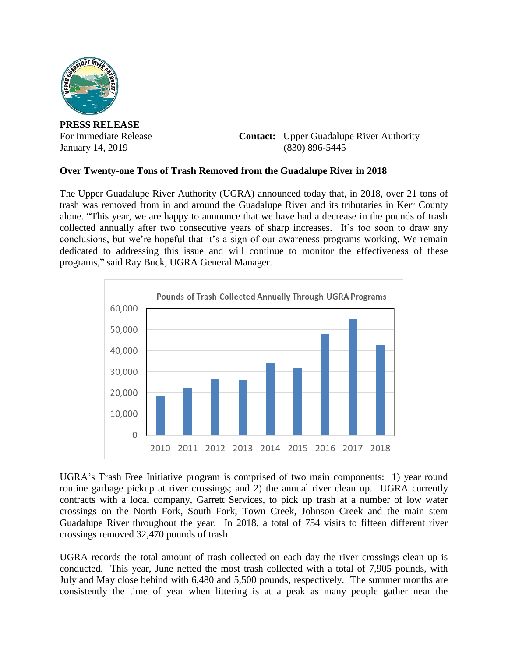

**PRESS RELEASE**

For Immediate Release **Contact:** Upper Guadalupe River Authority January 14, 2019 (830) 896-5445

## **Over Twenty-one Tons of Trash Removed from the Guadalupe River in 2018**

The Upper Guadalupe River Authority (UGRA) announced today that, in 2018, over 21 tons of trash was removed from in and around the Guadalupe River and its tributaries in Kerr County alone. "This year, we are happy to announce that we have had a decrease in the pounds of trash collected annually after two consecutive years of sharp increases. It's too soon to draw any conclusions, but we're hopeful that it's a sign of our awareness programs working. We remain dedicated to addressing this issue and will continue to monitor the effectiveness of these programs," said Ray Buck, UGRA General Manager.



UGRA's Trash Free Initiative program is comprised of two main components: 1) year round routine garbage pickup at river crossings; and 2) the annual river clean up. UGRA currently contracts with a local company, Garrett Services, to pick up trash at a number of low water crossings on the North Fork, South Fork, Town Creek, Johnson Creek and the main stem Guadalupe River throughout the year. In 2018, a total of 754 visits to fifteen different river crossings removed 32,470 pounds of trash.

UGRA records the total amount of trash collected on each day the river crossings clean up is conducted. This year, June netted the most trash collected with a total of 7,905 pounds, with July and May close behind with 6,480 and 5,500 pounds, respectively. The summer months are consistently the time of year when littering is at a peak as many people gather near the